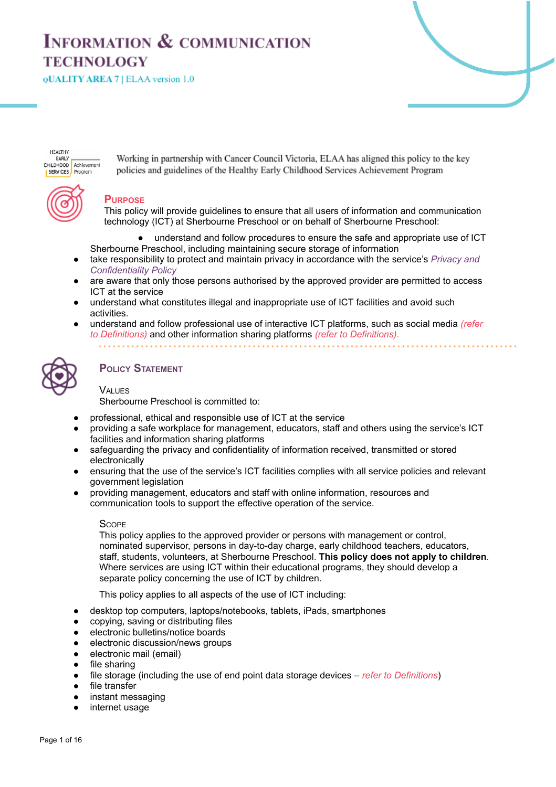# **INFORMATION & COMMUNICATION TECHNOLOGY**

**QUALITY AREA 7 | ELAA version 1.0** 

**HEALTHY EARLY** CHILDHOOD Achievement SERVICES Program

Working in partnership with Cancer Council Victoria, ELAA has aligned this policy to the key policies and guidelines of the Healthy Early Childhood Services Achievement Program

# **PURPOSE**

This policy will provide guidelines to ensure that all users of information and communication technology (ICT) at Sherbourne Preschool or on behalf of Sherbourne Preschool:

- understand and follow procedures to ensure the safe and appropriate use of ICT Sherbourne Preschool, including maintaining secure storage of information
- take responsibility to protect and maintain privacy in accordance with the service's *Privacy and Confidentiality Policy*
- are aware that only those persons authorised by the approved provider are permitted to access ICT at the service
- understand what constitutes illegal and inappropriate use of ICT facilities and avoid such activities.
- understand and follow professional use of interactive ICT platforms, such as social media *(refer to Definitions)* and other information sharing platforms *(refer to Definitions).*



# **POLICY STATEMENT**

# **VALUES**

Sherbourne Preschool is committed to:

- professional, ethical and responsible use of ICT at the service
- providing a safe workplace for management, educators, staff and others using the service's ICT facilities and information sharing platforms
- safeguarding the privacy and confidentiality of information received, transmitted or stored electronically
- ensuring that the use of the service's ICT facilities complies with all service policies and relevant government legislation
- providing management, educators and staff with online information, resources and communication tools to support the effective operation of the service.

#### **SCOPE**

This policy applies to the approved provider or persons with management or control, nominated supervisor, persons in day-to-day charge, early childhood teachers, educators, staff, students, volunteers, at Sherbourne Preschool. **This policy does not apply to children**. Where services are using ICT within their educational programs, they should develop a separate policy concerning the use of ICT by children.

This policy applies to all aspects of the use of ICT including:

- desktop top computers, laptops/notebooks, tablets, iPads, smartphones
- copying, saving or distributing files
- electronic bulletins/notice boards
- electronic discussion/news groups
- electronic mail (email)
- file sharing
- file storage (including the use of end point data storage devices *refer to Definitions*)
- file transfer
- instant messaging
- internet usage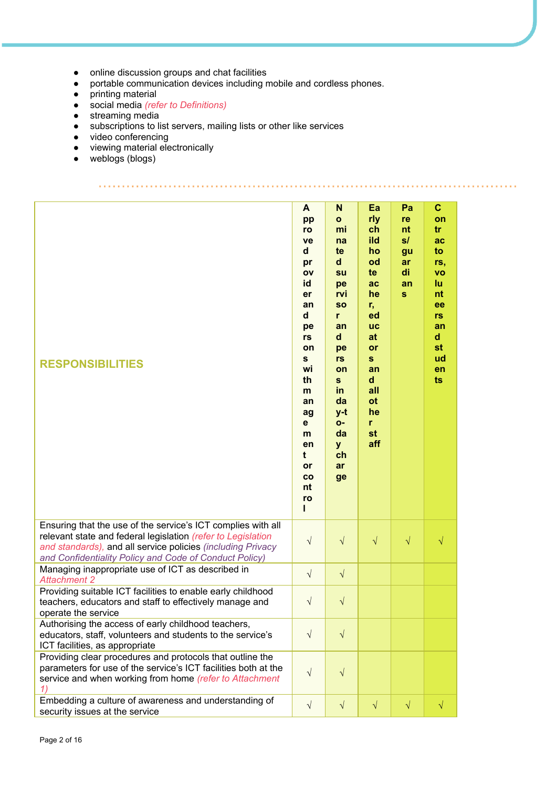- online discussion groups and chat facilities
- **Prime devices in groups and criminally mobile and cordless phones.**
- printing material
- *●* social media *(refer to Definitions)*
- streaming media
- subscriptions to list servers, mailing lists or other like services
- video conferencing<br>• viewing material ele
- viewing material electronically<br>● weblogs (blogs)

weblogs (blogs)

| <b>RESPONSIBILITIES</b>                                                                                                                                                                                                                               | A<br>pp<br>ro<br>ve<br>d<br>pr<br>ov<br>id<br>er<br>an<br>d<br>pe<br>rs<br>on<br>$\mathbf{s}$<br>wi<br>th<br>m<br>an<br>ag<br>$\mathbf{e}$<br>m<br>en<br>t<br>or<br>co<br>nt<br>ro<br>L | N<br>$\mathbf{o}$<br>mi<br>na<br>te<br>$\mathsf{d}$<br>su<br>pe<br>rvi<br><b>SO</b><br>r<br>an<br>$\mathsf{d}$<br>pe<br>rs<br>on<br>$\mathbf{s}$<br>in<br>da<br>$y-t$<br>O-<br>da<br><b>y</b><br>ch<br>ar<br>ge | Ea<br>rly<br>ch<br>ild<br>ho<br>od<br>te<br>ac<br>he<br>r,<br>ed<br><b>UC</b><br>at<br>or<br>$\mathbf{s}$<br>an<br>d<br>all<br><b>ot</b><br>he<br>r<br>st<br>aff | Pa<br>re<br>nt<br>s/<br>gu<br>ar<br>di<br>an<br>$\mathbf{s}$ | $\mathbf{C}$<br>on<br>tr<br>ac<br>to<br>rs,<br><b>VO</b><br>lu<br>nt<br>ee<br>rs<br>an<br>d<br>st<br>ud<br>en<br>ts |
|-------------------------------------------------------------------------------------------------------------------------------------------------------------------------------------------------------------------------------------------------------|-----------------------------------------------------------------------------------------------------------------------------------------------------------------------------------------|-----------------------------------------------------------------------------------------------------------------------------------------------------------------------------------------------------------------|------------------------------------------------------------------------------------------------------------------------------------------------------------------|--------------------------------------------------------------|---------------------------------------------------------------------------------------------------------------------|
| Ensuring that the use of the service's ICT complies with all<br>relevant state and federal legislation (refer to Legislation<br>and standards), and all service policies (including Privacy<br>and Confidentiality Policy and Code of Conduct Policy) | $\sqrt{}$                                                                                                                                                                               | $\sqrt{}$                                                                                                                                                                                                       | $\sqrt{}$                                                                                                                                                        | $\sqrt{}$                                                    | $\sqrt{}$                                                                                                           |
| Managing inappropriate use of ICT as described in<br><b>Attachment 2</b>                                                                                                                                                                              | $\sqrt{}$                                                                                                                                                                               | $\sqrt{}$                                                                                                                                                                                                       |                                                                                                                                                                  |                                                              |                                                                                                                     |
| Providing suitable ICT facilities to enable early childhood<br>teachers, educators and staff to effectively manage and<br>operate the service                                                                                                         | $\sqrt{}$                                                                                                                                                                               | $\sqrt{}$                                                                                                                                                                                                       |                                                                                                                                                                  |                                                              |                                                                                                                     |
| Authorising the access of early childhood teachers,<br>educators, staff, volunteers and students to the service's<br>ICT facilities, as appropriate                                                                                                   | $\sqrt{}$                                                                                                                                                                               | $\sqrt{}$                                                                                                                                                                                                       |                                                                                                                                                                  |                                                              |                                                                                                                     |
| Providing clear procedures and protocols that outline the<br>parameters for use of the service's ICT facilities both at the<br>service and when working from home (refer to Attachment<br>1)                                                          | $\sqrt{}$                                                                                                                                                                               | $\sqrt{}$                                                                                                                                                                                                       |                                                                                                                                                                  |                                                              |                                                                                                                     |
| Embedding a culture of awareness and understanding of                                                                                                                                                                                                 | $\sqrt{}$                                                                                                                                                                               | $\sqrt{}$                                                                                                                                                                                                       | $\sqrt{}$                                                                                                                                                        | $\sqrt{}$                                                    | $\sqrt{}$                                                                                                           |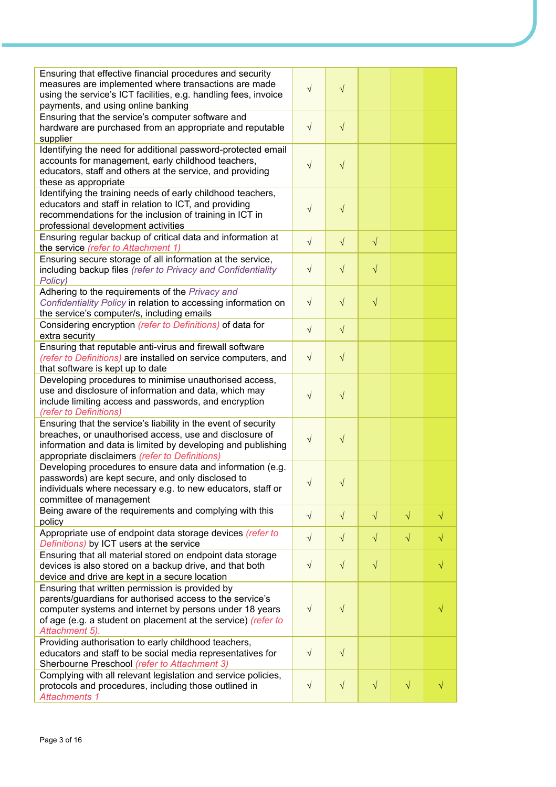| Ensuring that effective financial procedures and security<br>measures are implemented where transactions are made<br>using the service's ICT facilities, e.g. handling fees, invoice<br>payments, and using online banking                                | $\sqrt{}$  | $\sqrt{}$  |           |           |           |
|-----------------------------------------------------------------------------------------------------------------------------------------------------------------------------------------------------------------------------------------------------------|------------|------------|-----------|-----------|-----------|
| Ensuring that the service's computer software and<br>hardware are purchased from an appropriate and reputable<br>supplier                                                                                                                                 | $\sqrt{}$  | $\sqrt{ }$ |           |           |           |
| Identifying the need for additional password-protected email<br>accounts for management, early childhood teachers,<br>educators, staff and others at the service, and providing<br>these as appropriate                                                   | $\sqrt{}$  | $\sqrt{}$  |           |           |           |
| Identifying the training needs of early childhood teachers,<br>educators and staff in relation to ICT, and providing<br>recommendations for the inclusion of training in ICT in<br>professional development activities                                    | $\sqrt{}$  | $\sqrt{2}$ |           |           |           |
| Ensuring regular backup of critical data and information at<br>the service (refer to Attachment 1)                                                                                                                                                        | $\sqrt{}$  | $\sqrt{}$  | $\sqrt{}$ |           |           |
| Ensuring secure storage of all information at the service,<br>including backup files (refer to Privacy and Confidentiality<br>Policy)                                                                                                                     | $\sqrt{}$  | $\sqrt{}$  | $\sqrt{}$ |           |           |
| Adhering to the requirements of the Privacy and<br>Confidentiality Policy in relation to accessing information on<br>the service's computer/s, including emails                                                                                           | $\sqrt{}$  | $\sqrt{}$  | $\sqrt{}$ |           |           |
| Considering encryption (refer to Definitions) of data for<br>extra security                                                                                                                                                                               | $\sqrt{}$  | $\sqrt{}$  |           |           |           |
| Ensuring that reputable anti-virus and firewall software<br>(refer to Definitions) are installed on service computers, and<br>that software is kept up to date                                                                                            | $\sqrt{}$  | $\sqrt{ }$ |           |           |           |
| Developing procedures to minimise unauthorised access,<br>use and disclosure of information and data, which may<br>include limiting access and passwords, and encryption<br>(refer to Definitions)                                                        | $\sqrt{}$  | $\sqrt{}$  |           |           |           |
| Ensuring that the service's liability in the event of security<br>breaches, or unauthorised access, use and disclosure of<br>information and data is limited by developing and publishing<br>appropriate disclaimers (refer to Definitions)               | $\sqrt{}$  | $\sqrt{}$  |           |           |           |
| Developing procedures to ensure data and information (e.g.<br>passwords) are kept secure, and only disclosed to<br>individuals where necessary e.g. to new educators, staff or<br>committee of management                                                 | $\sqrt{ }$ | $\sqrt{ }$ |           |           |           |
| Being aware of the requirements and complying with this<br>policy                                                                                                                                                                                         | $\sqrt{}$  | $\sqrt{ }$ | $\sqrt{}$ | $\sqrt{}$ | $\sqrt{}$ |
| Appropriate use of endpoint data storage devices (refer to<br>Definitions) by ICT users at the service                                                                                                                                                    | $\sqrt{}$  | $\sqrt{}$  | $\sqrt{}$ | $\sqrt{}$ | V         |
| Ensuring that all material stored on endpoint data storage<br>devices is also stored on a backup drive, and that both<br>device and drive are kept in a secure location                                                                                   | $\sqrt{}$  | $\sqrt{}$  | $\sqrt{}$ |           |           |
| Ensuring that written permission is provided by<br>parents/guardians for authorised access to the service's<br>computer systems and internet by persons under 18 years<br>of age (e.g. a student on placement at the service) (refer to<br>Attachment 5). | $\sqrt{}$  | $\sqrt{ }$ |           |           |           |
| Providing authorisation to early childhood teachers,<br>educators and staff to be social media representatives for<br>Sherbourne Preschool (refer to Attachment 3)                                                                                        | $\sqrt{}$  | $\sqrt{}$  |           |           |           |
| Complying with all relevant legislation and service policies,<br>protocols and procedures, including those outlined in<br><b>Attachments 1</b>                                                                                                            | $\sqrt{}$  | $\sqrt{ }$ | $\sqrt{}$ | $\sqrt{}$ | √         |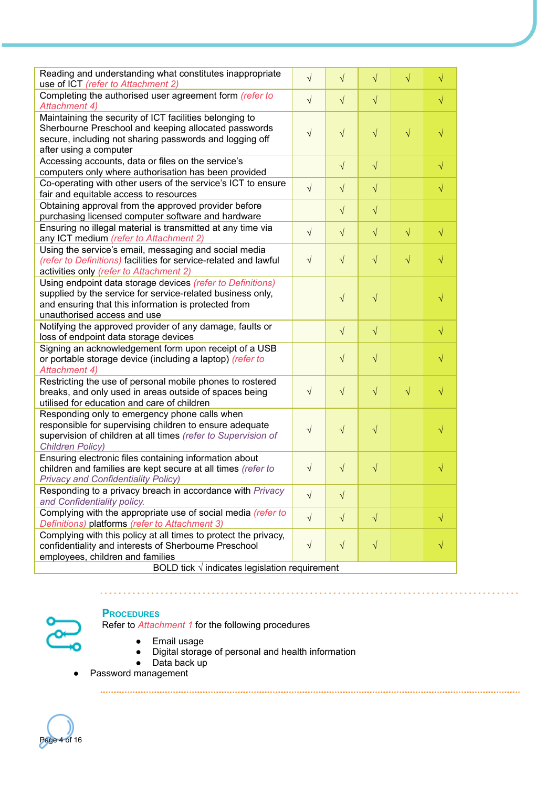| Reading and understanding what constitutes inappropriate<br>use of ICT (refer to Attachment 2)                                                                                                                  | $\sqrt{}$ | $\sqrt{}$  | $\sqrt{}$ | $\sqrt{}$ | $\sqrt{}$ |  |  |
|-----------------------------------------------------------------------------------------------------------------------------------------------------------------------------------------------------------------|-----------|------------|-----------|-----------|-----------|--|--|
| Completing the authorised user agreement form (refer to<br>Attachment 4)                                                                                                                                        | $\sqrt{}$ | $\sqrt{}$  | $\sqrt{}$ |           | √         |  |  |
| Maintaining the security of ICT facilities belonging to<br>Sherbourne Preschool and keeping allocated passwords<br>secure, including not sharing passwords and logging off<br>after using a computer            | $\sqrt{}$ | $\sqrt{}$  | $\sqrt{}$ | $\sqrt{}$ |           |  |  |
| Accessing accounts, data or files on the service's<br>computers only where authorisation has been provided                                                                                                      |           | $\sqrt{}$  | $\sqrt{}$ |           | $\sqrt{}$ |  |  |
| Co-operating with other users of the service's ICT to ensure<br>fair and equitable access to resources                                                                                                          | $\sqrt{}$ | $\sqrt{}$  | $\sqrt{}$ |           | $\sqrt{}$ |  |  |
| Obtaining approval from the approved provider before<br>purchasing licensed computer software and hardware                                                                                                      |           | $\sqrt{}$  | $\sqrt{}$ |           |           |  |  |
| Ensuring no illegal material is transmitted at any time via<br>any ICT medium (refer to Attachment 2)                                                                                                           | $\sqrt{}$ | $\sqrt{}$  | $\sqrt{}$ | $\sqrt{}$ | $\sqrt{}$ |  |  |
| Using the service's email, messaging and social media<br>(refer to Definitions) facilities for service-related and lawful<br>activities only (refer to Attachment 2)                                            | $\sqrt{}$ | $\sqrt{}$  | $\sqrt{}$ | $\sqrt{}$ | V         |  |  |
| Using endpoint data storage devices (refer to Definitions)<br>supplied by the service for service-related business only,<br>and ensuring that this information is protected from<br>unauthorised access and use |           | $\sqrt{}$  | $\sqrt{}$ |           |           |  |  |
| Notifying the approved provider of any damage, faults or<br>loss of endpoint data storage devices                                                                                                               |           | $\sqrt{}$  | $\sqrt{}$ |           | $\sqrt{}$ |  |  |
| Signing an acknowledgement form upon receipt of a USB<br>or portable storage device (including a laptop) (refer to<br>Attachment 4)                                                                             |           | $\sqrt{}$  | $\sqrt{}$ |           |           |  |  |
| Restricting the use of personal mobile phones to rostered<br>breaks, and only used in areas outside of spaces being<br>utilised for education and care of children                                              | $\sqrt{}$ | $\sqrt{}$  | $\sqrt{}$ | $\sqrt{}$ |           |  |  |
| Responding only to emergency phone calls when<br>responsible for supervising children to ensure adequate<br>supervision of children at all times (refer to Supervision of<br><b>Children Policy)</b>            | $\sqrt{}$ | $\sqrt{}$  | $\sqrt{}$ |           |           |  |  |
| Ensuring electronic files containing information about<br>children and families are kept secure at all times (refer to<br><b>Privacy and Confidentiality Policy)</b>                                            | $\sqrt{}$ | $\sqrt{}$  | $\sqrt{}$ |           |           |  |  |
| Responding to a privacy breach in accordance with Privacy<br>and Confidentiality policy.                                                                                                                        | $\sqrt{}$ | $\sqrt{}$  |           |           |           |  |  |
| Complying with the appropriate use of social media (refer to<br>Definitions) platforms (refer to Attachment 3)                                                                                                  | $\sqrt{}$ | $\sqrt{ }$ | $\sqrt{}$ |           | √         |  |  |
| Complying with this policy at all times to protect the privacy,<br>confidentiality and interests of Sherbourne Preschool<br>employees, children and families                                                    | $\sqrt{}$ | $\sqrt{}$  | $\sqrt{}$ |           |           |  |  |
| BOLD tick $\sqrt{}$ indicates legislation requirement                                                                                                                                                           |           |            |           |           |           |  |  |



# **PROCEDURES**

 $\mathbf{r} \in \mathbb{R}^d$ 

. . . . . . . . . . .

Refer to *Attachment 1* for the following procedures

- Email usage<br>● Digital storag
- Digital storage of personal and health information<br>● Data back up

- Data back up
- Password management

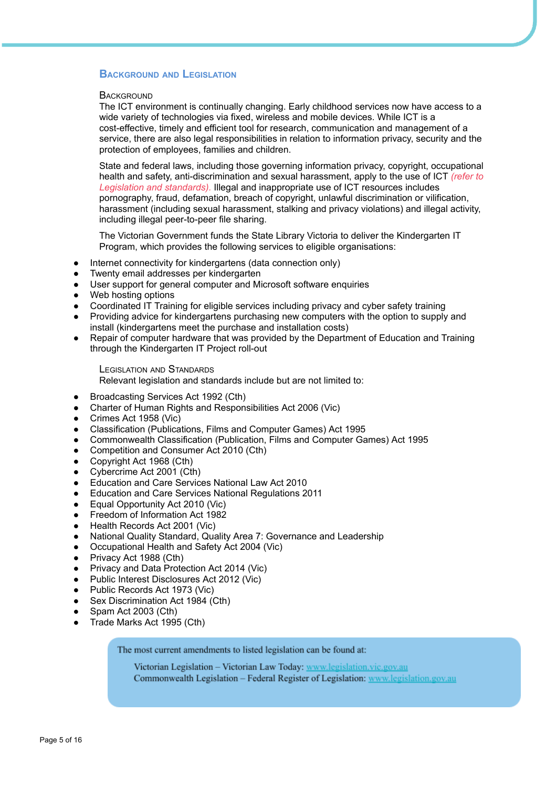## **BACKGROUND AND LEGISLATION**

#### **BACKGROUND**

The ICT environment is continually changing. Early childhood services now have access to a wide variety of technologies via fixed, wireless and mobile devices. While ICT is a cost-effective, timely and efficient tool for research, communication and management of a service, there are also legal responsibilities in relation to information privacy, security and the protection of employees, families and children.

State and federal laws, including those governing information privacy, copyright, occupational health and safety, anti-discrimination and sexual harassment, apply to the use of ICT *(refer to Legislation and standards).* Illegal and inappropriate use of ICT resources includes pornography, fraud, defamation, breach of copyright, unlawful discrimination or vilification, harassment (including sexual harassment, stalking and privacy violations) and illegal activity, including illegal peer-to-peer file sharing.

The Victorian Government funds the State Library Victoria to deliver the Kindergarten IT Program, which provides the following services to eligible organisations:

- Internet connectivity for kindergartens (data connection only)
- Twenty email addresses per kindergarten
- User support for general computer and Microsoft software enquiries
- Web hosting options
- Coordinated IT Training for eligible services including privacy and cyber safety training
- Providing advice for kindergartens purchasing new computers with the option to supply and install (kindergartens meet the purchase and installation costs)
- Repair of computer hardware that was provided by the Department of Education and Training through the Kindergarten IT Project roll-out

LEGISLATION AND STANDARDS

Relevant legislation and standards include but are not limited to:

- Broadcasting Services Act 1992 (Cth)
- Charter of Human Rights and Responsibilities Act 2006 (Vic)
- Crimes Act 1958 (Vic)
- Classification (Publications, Films and Computer Games) Act 1995
- Commonwealth Classification (Publication, Films and Computer Games) Act 1995
- Competition and Consumer Act 2010 (Cth)
- Copyright Act 1968 (Cth)
- Cybercrime Act 2001 (Cth)
- Education and Care Services National Law Act 2010
- **Education and Care Services National Regulations 2011**
- Equal Opportunity Act 2010 (Vic)
- Freedom of Information Act 1982
- Health Records Act 2001 (Vic)
- National Quality Standard, Quality Area 7: Governance and Leadership
- Occupational Health and Safety Act 2004 (Vic)
- Privacy Act 1988 (Cth)
- Privacy and Data Protection Act 2014 (Vic)
- Public Interest Disclosures Act 2012 (Vic)
- Public Records Act 1973 (Vic)
- Sex Discrimination Act 1984 (Cth)
- Spam Act 2003 (Cth)
- Trade Marks Act 1995 (Cth)

The most current amendments to listed legislation can be found at:

Victorian Legislation - Victorian Law Today: www.legislation.vic.gov.au Commonwealth Legislation - Federal Register of Legislation: www.legislation.gov.au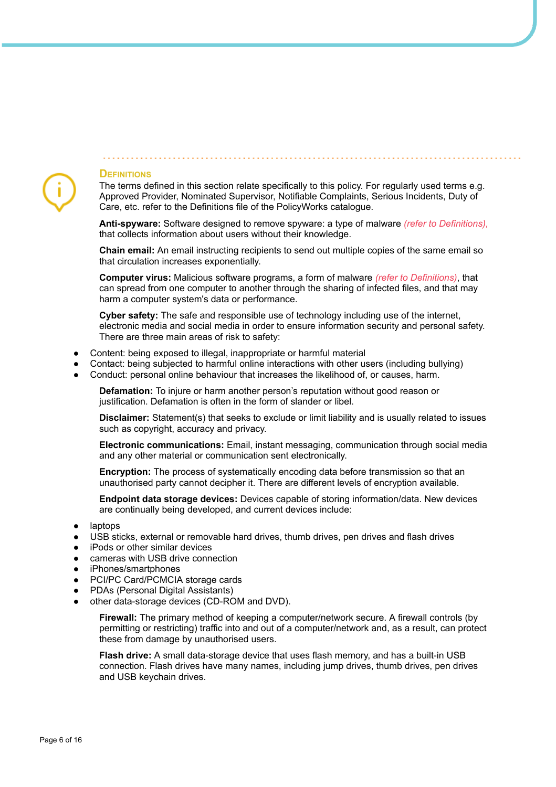# **DEFINITIONS**

The terms defined in this section relate specifically to this policy. For regularly used terms e.g. Approved Provider, Nominated Supervisor, Notifiable Complaints, Serious Incidents, Duty of Care, etc. refer to the Definitions file of the PolicyWorks catalogue.

**Anti-spyware:** Software designed to remove spyware: a type of malware *(refer to Definitions),* that collects information about users without their knowledge.

**Chain email:** An email instructing recipients to send out multiple copies of the same email so that circulation increases exponentially.

**Computer virus:** Malicious software programs, a form of malware *(refer to Definitions)*, that can spread from one computer to another through the sharing of infected files, and that may harm a computer system's data or performance.

**Cyber safety:** The safe and responsible use of technology including use of the internet, electronic media and social media in order to ensure information security and personal safety. There are three main areas of risk to safety:

- Content: being exposed to illegal, inappropriate or harmful material
- Contact: being subjected to harmful online interactions with other users (including bullying)
- Conduct: personal online behaviour that increases the likelihood of, or causes, harm.

**Defamation:** To injure or harm another person's reputation without good reason or justification. Defamation is often in the form of slander or libel.

**Disclaimer:** Statement(s) that seeks to exclude or limit liability and is usually related to issues such as copyright, accuracy and privacy.

**Electronic communications:** Email, instant messaging, communication through social media and any other material or communication sent electronically.

**Encryption:** The process of systematically encoding data before transmission so that an unauthorised party cannot decipher it. There are different levels of encryption available.

**Endpoint data storage devices:** Devices capable of storing information/data. New devices are continually being developed, and current devices include:

- laptops
- USB sticks, external or removable hard drives, thumb drives, pen drives and flash drives
- iPods or other similar devices
- cameras with USB drive connection
- iPhones/smartphones
- PCI/PC Card/PCMCIA storage cards
- PDAs (Personal Digital Assistants)
- other data-storage devices (CD-ROM and DVD).

**Firewall:** The primary method of keeping a computer/network secure. A firewall controls (by permitting or restricting) traffic into and out of a computer/network and, as a result, can protect these from damage by unauthorised users.

**Flash drive:** A small data-storage device that uses flash memory, and has a built-in USB connection. Flash drives have many names, including jump drives, thumb drives, pen drives and USB keychain drives.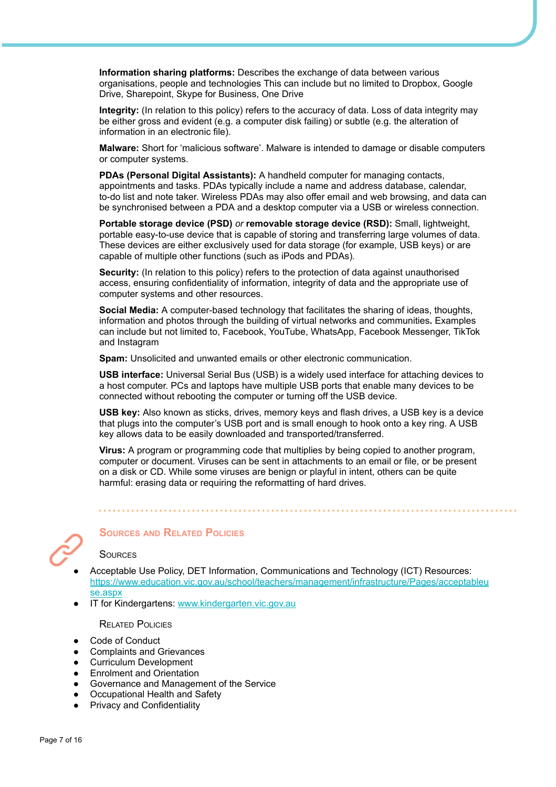**Information sharing platforms:** Describes the exchange of data between various organisations, people and technologies This can include but no limited to Dropbox, Google Drive, Sharepoint, Skype for Business, One Drive

**Integrity:** (In relation to this policy) refers to the accuracy of data. Loss of data integrity may be either gross and evident (e.g. a computer disk failing) or subtle (e.g. the alteration of information in an electronic file).

**Malware:** Short for 'malicious software'. Malware is intended to damage or disable computers or computer systems.

**PDAs (Personal Digital Assistants):** A handheld computer for managing contacts, appointments and tasks. PDAs typically include a name and address database, calendar, to-do list and note taker. Wireless PDAs may also offer email and web browsing, and data can be synchronised between a PDA and a desktop computer via a USB or wireless connection.

**Portable storage device (PSD)** *or* **removable storage device (RSD):** Small, lightweight, portable easy-to-use device that is capable of storing and transferring large volumes of data. These devices are either exclusively used for data storage (for example, USB keys) or are capable of multiple other functions (such as iPods and PDAs).

**Security:** (In relation to this policy) refers to the protection of data against unauthorised access, ensuring confidentiality of information, integrity of data and the appropriate use of computer systems and other resources.

**Social Media:** A computer-based technology that facilitates the sharing of ideas, thoughts, information and photos through the building of virtual networks and communities**.** Examples can include but not limited to, Facebook, YouTube, WhatsApp, Facebook Messenger, TikTok and Instagram

**Spam:** Unsolicited and unwanted emails or other electronic communication.

**USB interface:** Universal Serial Bus (USB) is a widely used interface for attaching devices to a host computer. PCs and laptops have multiple USB ports that enable many devices to be connected without rebooting the computer or turning off the USB device.

**USB key:** Also known as sticks, drives, memory keys and flash drives, a USB key is a device that plugs into the computer's USB port and is small enough to hook onto a key ring. A USB key allows data to be easily downloaded and transported/transferred.

**Virus:** A program or programming code that multiplies by being copied to another program, computer or document. Viruses can be sent in attachments to an email or file, or be present on a disk or CD. While some viruses are benign or playful in intent, others can be quite harmful: erasing data or requiring the reformatting of hard drives.



# **SOURCES AND RELATED POLICIES**

**SOURCES** 

- Acceptable Use Policy, DET Information, Communications and Technology (ICT) Resources: [https://www.education.vic.gov.au/school/teachers/management/infrastructure/Pages/acceptableu](https://www.education.vic.gov.au/school/teachers/management/infrastructure/Pages/acceptableuse.aspx) [se.aspx](https://www.education.vic.gov.au/school/teachers/management/infrastructure/Pages/acceptableuse.aspx)
- IT for Kindergartens: [www.kindergarten.vic.gov.au](https://kindergarten.vic.gov.au/)

RELATED POLICIES

- Code of Conduct
- Complaints and Grievances
- **Curriculum Development**
- **Enrolment and Orientation**
- Governance and Management of the Service
- Occupational Health and Safety
- **Privacy and Confidentiality**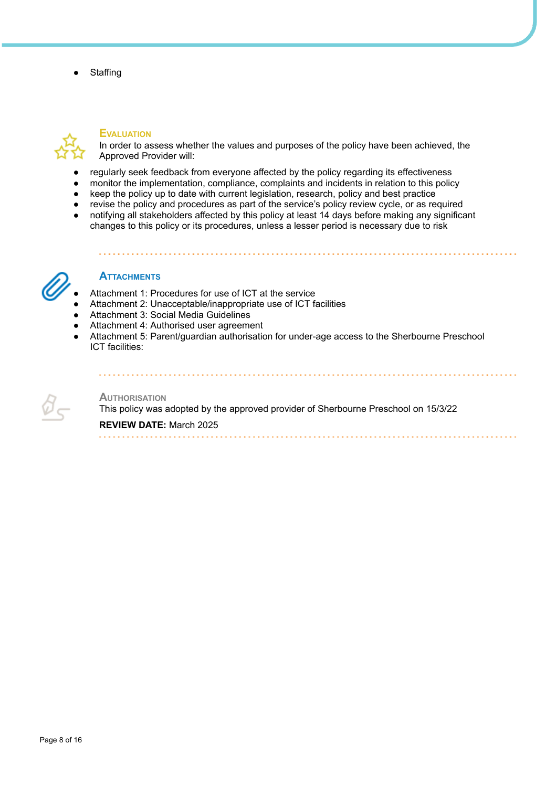**Staffing** 



## **EVALUATION**

In order to assess whether the values and purposes of the policy have been achieved, the Approved Provider will:

- regularly seek feedback from everyone affected by the policy regarding its effectiveness
- monitor the implementation, compliance, complaints and incidents in relation to this policy
- keep the policy up to date with current legislation, research, policy and best practice
- revise the policy and procedures as part of the service's policy review cycle, or as required
- notifying all stakeholders affected by this policy at least 14 days before making any significant changes to this policy or its procedures, unless a lesser period is necessary due to risk



# **ATTACHMENTS**

- Attachment 1: Procedures for use of ICT at the service
- Attachment 2: Unacceptable/inappropriate use of ICT facilities
- Attachment 3: Social Media Guidelines
- Attachment 4: Authorised user agreement
- Attachment 5: Parent/guardian authorisation for under-age access to the Sherbourne Preschool ICT facilities:



#### **AUTHORISATION**

This policy was adopted by the approved provider of Sherbourne Preschool on 15/3/22

**REVIEW DATE:** March 2025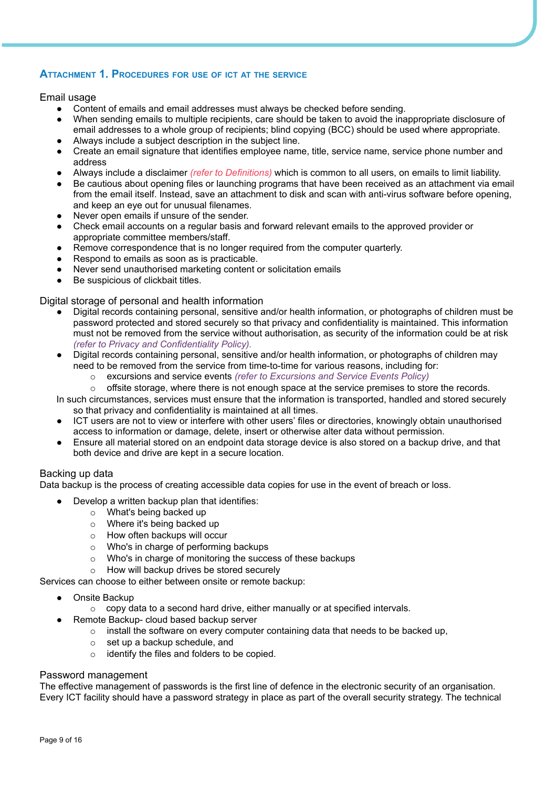# **ATTACHMENT 1. PROCEDURES FOR USE OF ICT AT THE SERVICE**

# Email usage

- Content of emails and email addresses must always be checked before sending.
- When sending emails to multiple recipients, care should be taken to avoid the inappropriate disclosure of email addresses to a whole group of recipients; blind copying (BCC) should be used where appropriate.
- Always include a subject description in the subject line.
- Create an email signature that identifies employee name, title, service name, service phone number and address
- Always include a disclaimer *(refer to Definitions)* which is common to all users, on emails to limit liability.
- Be cautious about opening files or launching programs that have been received as an attachment via email from the email itself. Instead, save an attachment to disk and scan with anti-virus software before opening, and keep an eye out for unusual filenames.
- Never open emails if unsure of the sender.
- Check email accounts on a regular basis and forward relevant emails to the approved provider or appropriate committee members/staff.
- Remove correspondence that is no longer required from the computer quarterly.
- Respond to emails as soon as is practicable.
- Never send unauthorised marketing content or solicitation emails
- Be suspicious of clickbait titles.

## Digital storage of personal and health information

- Digital records containing personal, sensitive and/or health information, or photographs of children must be password protected and stored securely so that privacy and confidentiality is maintained. This information must not be removed from the service without authorisation, as security of the information could be at risk *(refer to Privacy and Confidentiality Policy).*
- Digital records containing personal, sensitive and/or health information, or photographs of children may need to be removed from the service from time-to-time for various reasons, including for:
	- o excursions and service events *(refer to Excursions and Service Events Policy)*
	- $\circ$  offsite storage, where there is not enough space at the service premises to store the records.

In such circumstances, services must ensure that the information is transported, handled and stored securely so that privacy and confidentiality is maintained at all times.

- ICT users are not to view or interfere with other users' files or directories, knowingly obtain unauthorised access to information or damage, delete, insert or otherwise alter data without permission.
- Ensure all material stored on an endpoint data storage device is also stored on a backup drive, and that both device and drive are kept in a secure location.

# Backing up data

Data backup is the process of creating accessible data copies for use in the event of breach or loss.

- Develop a written backup plan that identifies:
	- o What's being backed up
	- o Where it's being backed up
	- o How often backups will occur
	- o Who's in charge of performing backups
	- o Who's in charge of monitoring the success of these backups
	- o How will backup drives be stored securely

Services can choose to either between onsite or remote backup:

- Onsite Backup
	- $\circ$  copy data to a second hard drive, either manually or at specified intervals.
	- Remote Backup- cloud based backup server
		- $\circ$  install the software on every computer containing data that needs to be backed up,
		- o set up a backup schedule, and
		- o identify the files and folders to be copied.

# Password management

The effective management of passwords is the first line of defence in the electronic security of an organisation. Every ICT facility should have a password strategy in place as part of the overall security strategy. The technical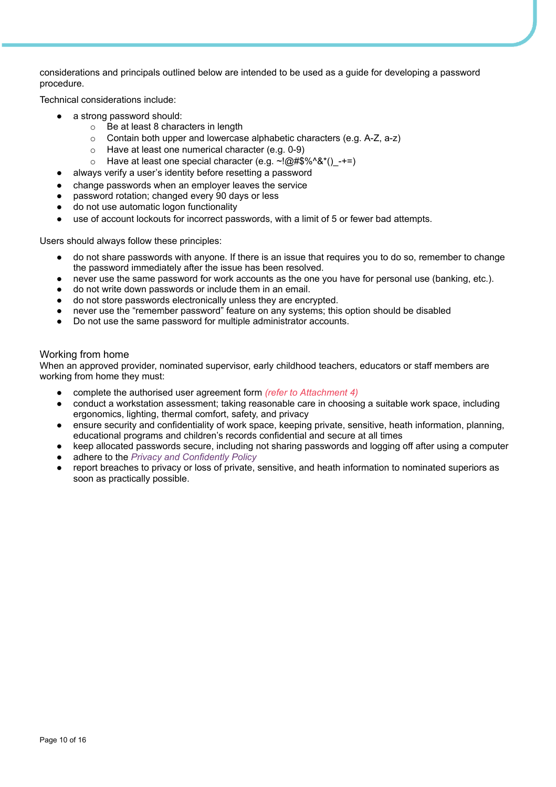considerations and principals outlined below are intended to be used as a guide for developing a password procedure.

Technical considerations include:

- a strong password should:
	- o Be at least 8 characters in length
	- o Contain both upper and lowercase alphabetic characters (e.g. A-Z, a-z)
	- o Have at least one numerical character (e.g. 0-9)
	- o Have at least one special character (e.g.  $\sim$ !@#\$%^&\*() -+=)
	- always verify a user's identity before resetting a password
- change passwords when an employer leaves the service
- password rotation; changed every 90 days or less
- do not use automatic logon functionality
- use of account lockouts for incorrect passwords, with a limit of 5 or fewer bad attempts.

Users should always follow these principles:

- do not share passwords with anyone. If there is an issue that requires you to do so, remember to change the password immediately after the issue has been resolved.
- never use the same password for work accounts as the one you have for personal use (banking, etc.).
- do not write down passwords or include them in an email.
- do not store passwords electronically unless they are encrypted.
- never use the "remember password" feature on any systems; this option should be disabled
- Do not use the same password for multiple administrator accounts.

## Working from home

When an approved provider, nominated supervisor, early childhood teachers, educators or staff members are working from home they must:

- complete the authorised user agreement form *(refer to Attachment 4)*
- conduct a workstation assessment; taking reasonable care in choosing a suitable work space, including ergonomics, lighting, thermal comfort, safety, and privacy
- ensure security and confidentiality of work space, keeping private, sensitive, heath information, planning, educational programs and children's records confidential and secure at all times
- keep allocated passwords secure, including not sharing passwords and logging off after using a computer
- adhere to the *Privacy and Confidently Policy*
- report breaches to privacy or loss of private, sensitive, and heath information to nominated superiors as soon as practically possible.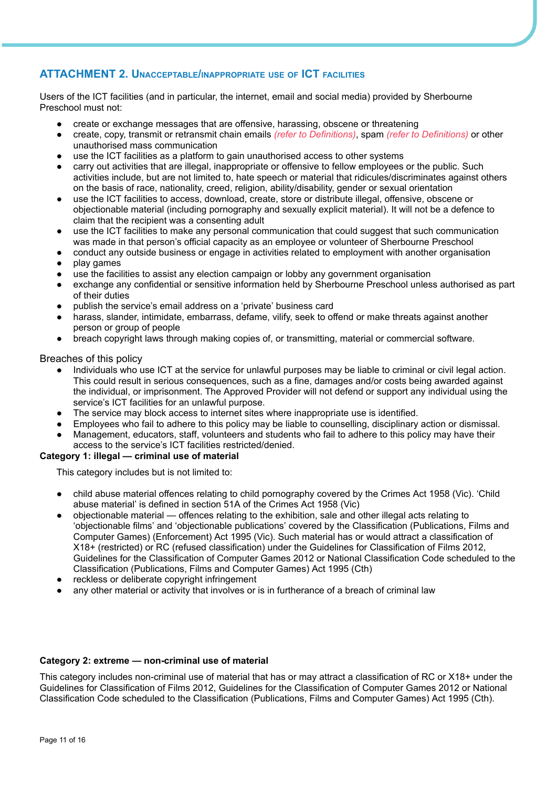# **ATTACHMENT 2. UNACCEPTABLE/INAPPROPRIATE USE OF ICT FACILITIES**

Users of the ICT facilities (and in particular, the internet, email and social media) provided by Sherbourne Preschool must not:

- create or exchange messages that are offensive, harassing, obscene or threatening
- create, copy, transmit or retransmit chain emails *(refer to Definitions)*, spam *(refer to Definitions)* or other unauthorised mass communication
- use the ICT facilities as a platform to gain unauthorised access to other systems
- carry out activities that are illegal, inappropriate or offensive to fellow employees or the public. Such activities include, but are not limited to, hate speech or material that ridicules/discriminates against others on the basis of race, nationality, creed, religion, ability/disability, gender or sexual orientation
- use the ICT facilities to access, download, create, store or distribute illegal, offensive, obscene or objectionable material (including pornography and sexually explicit material). It will not be a defence to claim that the recipient was a consenting adult
- use the ICT facilities to make any personal communication that could suggest that such communication was made in that person's official capacity as an employee or volunteer of Sherbourne Preschool
- conduct any outside business or engage in activities related to employment with another organisation
- play games
- use the facilities to assist any election campaign or lobby any government organisation
- exchange any confidential or sensitive information held by Sherbourne Preschool unless authorised as part of their duties
- publish the service's email address on a 'private' business card
- harass, slander, intimidate, embarrass, defame, vilify, seek to offend or make threats against another person or group of people
- breach copyright laws through making copies of, or transmitting, material or commercial software.

## Breaches of this policy

- Individuals who use ICT at the service for unlawful purposes may be liable to criminal or civil legal action. This could result in serious consequences, such as a fine, damages and/or costs being awarded against the individual, or imprisonment. The Approved Provider will not defend or support any individual using the service's ICT facilities for an unlawful purpose.
- The service may block access to internet sites where inappropriate use is identified.
- Employees who fail to adhere to this policy may be liable to counselling, disciplinary action or dismissal.
- Management, educators, staff, volunteers and students who fail to adhere to this policy may have their access to the service's ICT facilities restricted/denied.

# **Category 1: illegal — criminal use of material**

This category includes but is not limited to:

- child abuse material offences relating to child pornography covered by the Crimes Act 1958 (Vic). 'Child abuse material' is defined in section 51A of the Crimes Act 1958 (Vic)
- objectionable material offences relating to the exhibition, sale and other illegal acts relating to 'objectionable films' and 'objectionable publications' covered by the Classification (Publications, Films and Computer Games) (Enforcement) Act 1995 (Vic). Such material has or would attract a classification of X18+ (restricted) or RC (refused classification) under the Guidelines for Classification of Films 2012, Guidelines for the Classification of Computer Games 2012 or National Classification Code scheduled to the Classification (Publications, Films and Computer Games) Act 1995 (Cth)
- reckless or deliberate copyright infringement
- any other material or activity that involves or is in furtherance of a breach of criminal law

#### **Category 2: extreme — non-criminal use of material**

This category includes non-criminal use of material that has or may attract a classification of RC or X18+ under the Guidelines for Classification of Films 2012, Guidelines for the Classification of Computer Games 2012 or National Classification Code scheduled to the Classification (Publications, Films and Computer Games) Act 1995 (Cth).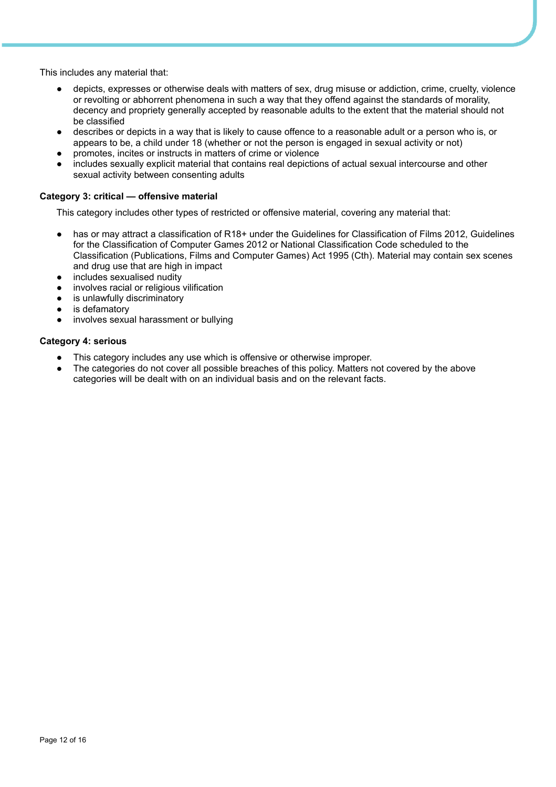This includes any material that:

- depicts, expresses or otherwise deals with matters of sex, drug misuse or addiction, crime, cruelty, violence or revolting or abhorrent phenomena in such a way that they offend against the standards of morality, decency and propriety generally accepted by reasonable adults to the extent that the material should not be classified
- describes or depicts in a way that is likely to cause offence to a reasonable adult or a person who is, or appears to be, a child under 18 (whether or not the person is engaged in sexual activity or not)
- promotes, incites or instructs in matters of crime or violence
- includes sexually explicit material that contains real depictions of actual sexual intercourse and other sexual activity between consenting adults

## **Category 3: critical — offensive material**

This category includes other types of restricted or offensive material, covering any material that:

- has or may attract a classification of R18+ under the Guidelines for Classification of Films 2012, Guidelines for the Classification of Computer Games 2012 or National Classification Code scheduled to the Classification (Publications, Films and Computer Games) Act 1995 (Cth). Material may contain sex scenes and drug use that are high in impact
- includes sexualised nudity
- involves racial or religious vilification
- is unlawfully discriminatory
- is defamatory
- involves sexual harassment or bullying

#### **Category 4: serious**

- This category includes any use which is offensive or otherwise improper.
- The categories do not cover all possible breaches of this policy. Matters not covered by the above categories will be dealt with on an individual basis and on the relevant facts.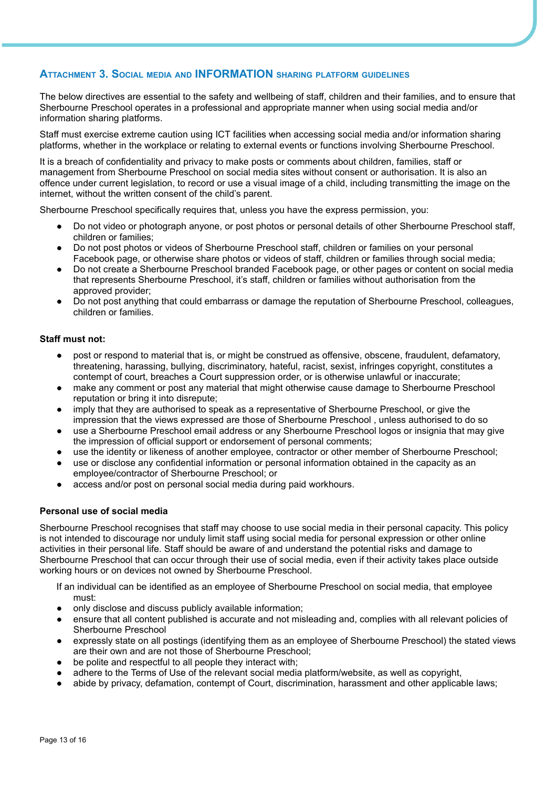# **ATTACHMENT 3. SOCIAL MEDIA AND INFORMATION SHARING PLATFORM GUIDELINES**

The below directives are essential to the safety and wellbeing of staff, children and their families, and to ensure that Sherbourne Preschool operates in a professional and appropriate manner when using social media and/or information sharing platforms.

Staff must exercise extreme caution using ICT facilities when accessing social media and/or information sharing platforms, whether in the workplace or relating to external events or functions involving Sherbourne Preschool.

It is a breach of confidentiality and privacy to make posts or comments about children, families, staff or management from Sherbourne Preschool on social media sites without consent or authorisation. It is also an offence under current legislation, to record or use a visual image of a child, including transmitting the image on the internet, without the written consent of the child's parent.

Sherbourne Preschool specifically requires that, unless you have the express permission, you:

- Do not video or photograph anyone, or post photos or personal details of other Sherbourne Preschool staff, children or families;
- Do not post photos or videos of Sherbourne Preschool staff, children or families on your personal Facebook page, or otherwise share photos or videos of staff, children or families through social media;
- Do not create a Sherbourne Preschool branded Facebook page, or other pages or content on social media that represents Sherbourne Preschool, it's staff, children or families without authorisation from the approved provider;
- Do not post anything that could embarrass or damage the reputation of Sherbourne Preschool, colleagues, children or families.

#### **Staff must not:**

- post or respond to material that is, or might be construed as offensive, obscene, fraudulent, defamatory, threatening, harassing, bullying, discriminatory, hateful, racist, sexist, infringes copyright, constitutes a contempt of court, breaches a Court suppression order, or is otherwise unlawful or inaccurate;
- make any comment or post any material that might otherwise cause damage to Sherbourne Preschool reputation or bring it into disrepute;
- imply that they are authorised to speak as a representative of Sherbourne Preschool, or give the impression that the views expressed are those of Sherbourne Preschool , unless authorised to do so
- use a Sherbourne Preschool email address or any Sherbourne Preschool logos or insignia that may give the impression of official support or endorsement of personal comments;
- use the identity or likeness of another employee, contractor or other member of Sherbourne Preschool;
- use or disclose any confidential information or personal information obtained in the capacity as an employee/contractor of Sherbourne Preschool; or
- access and/or post on personal social media during paid workhours.

#### **Personal use of social media**

Sherbourne Preschool recognises that staff may choose to use social media in their personal capacity. This policy is not intended to discourage nor unduly limit staff using social media for personal expression or other online activities in their personal life. Staff should be aware of and understand the potential risks and damage to Sherbourne Preschool that can occur through their use of social media, even if their activity takes place outside working hours or on devices not owned by Sherbourne Preschool.

If an individual can be identified as an employee of Sherbourne Preschool on social media, that employee must:

- only disclose and discuss publicly available information;
- ensure that all content published is accurate and not misleading and, complies with all relevant policies of Sherbourne Preschool
- expressly state on all postings (identifying them as an employee of Sherbourne Preschool) the stated views are their own and are not those of Sherbourne Preschool;
- be polite and respectful to all people they interact with;
- adhere to the Terms of Use of the relevant social media platform/website, as well as copyright,
- abide by privacy, defamation, contempt of Court, discrimination, harassment and other applicable laws;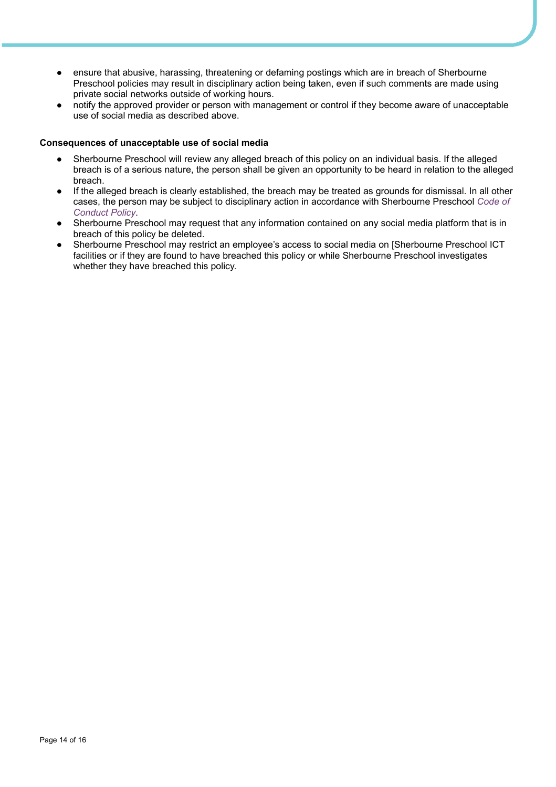- ensure that abusive, harassing, threatening or defaming postings which are in breach of Sherbourne Preschool policies may result in disciplinary action being taken, even if such comments are made using private social networks outside of working hours.
- notify the approved provider or person with management or control if they become aware of unacceptable use of social media as described above.

#### **Consequences of unacceptable use of social media**

- Sherbourne Preschool will review any alleged breach of this policy on an individual basis. If the alleged breach is of a serious nature, the person shall be given an opportunity to be heard in relation to the alleged breach.
- If the alleged breach is clearly established, the breach may be treated as grounds for dismissal. In all other cases, the person may be subject to disciplinary action in accordance with Sherbourne Preschool *Code of Conduct Policy*.
- Sherbourne Preschool may request that any information contained on any social media platform that is in breach of this policy be deleted.
- Sherbourne Preschool may restrict an employee's access to social media on [Sherbourne Preschool ICT facilities or if they are found to have breached this policy or while Sherbourne Preschool investigates whether they have breached this policy.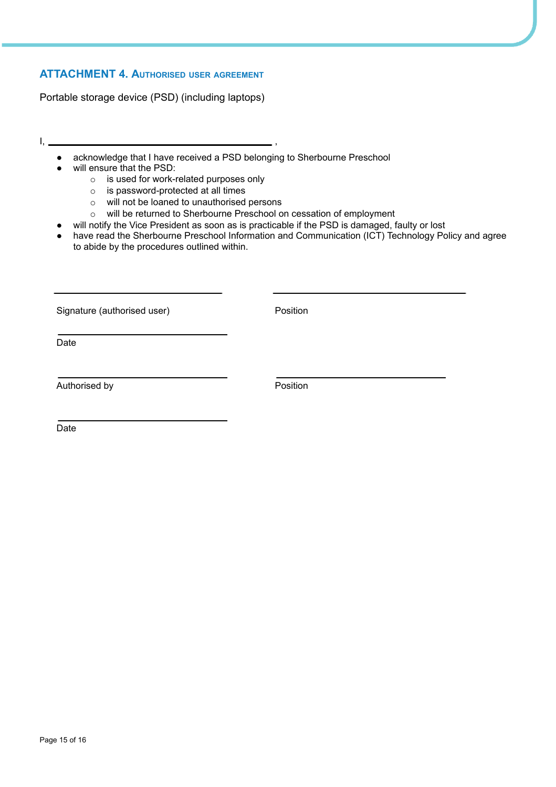# **ATTACHMENT 4. AUTHORISED USER AGREEMENT**

Portable storage device (PSD) (including laptops)

- I, ,
	- acknowledge that I have received a PSD belonging to Sherbourne Preschool
	- will ensure that the PSD:
		- o is used for work-related purposes only
		- o is password-protected at all times
		- o will not be loaned to unauthorised persons
		- o will be returned to Sherbourne Preschool on cessation of employment
	- will notify the Vice President as soon as is practicable if the PSD is damaged, faulty or lost
	- have read the Sherbourne Preschool Information and Communication (ICT) Technology Policy and agree to abide by the procedures outlined within.

Signature (authorised user) example and the Position

Date

Authorised by **Authorised by Position** 

Date